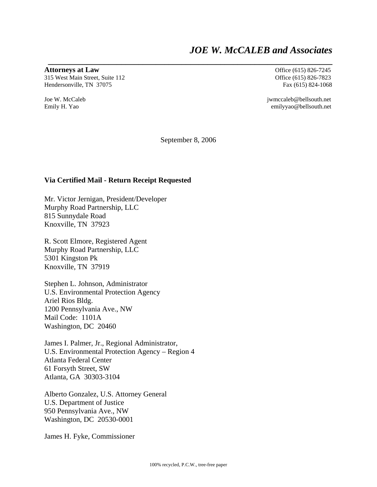## *JOE W. McCALEB and Associates*

**Attorneys at Law Office** (615) 826-7245

315 West Main Street, Suite 112 Office (615) 826-7823 Hendersonville, TN 37075 Fax (615) 824-1068

Joe W. McCaleb jwmccaleb@bellsouth.net Emily H. Yao emilyyao@bellsouth.net

September 8, 2006

**\_\_\_\_\_\_\_\_\_\_\_\_\_\_\_\_\_\_\_\_\_\_\_\_\_\_\_\_\_\_\_\_\_\_\_\_\_\_\_\_\_\_\_\_\_\_\_\_\_\_\_\_\_\_\_\_\_\_\_\_\_\_\_\_\_\_** 

## **Via Certified Mail - Return Receipt Requested**

Mr. Victor Jernigan, President/Developer Murphy Road Partnership, LLC 815 Sunnydale Road Knoxville, TN 37923

R. Scott Elmore, Registered Agent Murphy Road Partnership, LLC 5301 Kingston Pk Knoxville, TN 37919

Stephen L. Johnson, Administrator U.S. Environmental Protection Agency Ariel Rios Bldg. 1200 Pennsylvania Ave., NW Mail Code: 1101A Washington, DC 20460

James I. Palmer, Jr., Regional Administrator, U.S. Environmental Protection Agency – Region 4 Atlanta Federal Center 61 Forsyth Street, SW Atlanta, GA 30303-3104

Alberto Gonzalez, U.S. Attorney General U.S. Department of Justice 950 Pennsylvania Ave., NW Washington, DC 20530-0001

James H. Fyke, Commissioner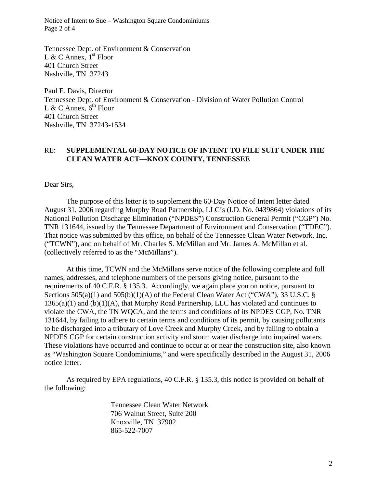Notice of Intent to Sue – Washington Square Condominiums Page 2 of 4

Tennessee Dept. of Environment & Conservation L & C Annex,  $1<sup>st</sup>$  Floor 401 Church Street Nashville, TN 37243

Paul E. Davis, Director Tennessee Dept. of Environment & Conservation - Division of Water Pollution Control L & C Annex,  $6^{th}$  Floor 401 Church Street Nashville, TN 37243-1534

## RE: **SUPPLEMENTAL 60-DAY NOTICE OF INTENT TO FILE SUIT UNDER THE CLEAN WATER ACT—KNOX COUNTY, TENNESSEE**

Dear Sirs,

 The purpose of this letter is to supplement the 60-Day Notice of Intent letter dated August 31, 2006 regarding Murphy Road Partnership, LLC's (I.D. No. 0439864) violations of its National Pollution Discharge Elimination ("NPDES") Construction General Permit ("CGP") No. TNR 131644, issued by the Tennessee Department of Environment and Conservation ("TDEC"). That notice was submitted by this office, on behalf of the Tennessee Clean Water Network, Inc. ("TCWN"), and on behalf of Mr. Charles S. McMillan and Mr. James A. McMillan et al. (collectively referred to as the "McMillans").

 At this time, TCWN and the McMillans serve notice of the following complete and full names, addresses, and telephone numbers of the persons giving notice, pursuant to the requirements of 40 C.F.R. § 135.3. Accordingly, we again place you on notice, pursuant to Sections 505(a)(1) and 505(b)(1)(A) of the Federal Clean Water Act ("CWA"), 33 U.S.C. § 1365(a)(1) and (b)(1)(A), that Murphy Road Partnership, LLC has violated and continues to violate the CWA, the TN WQCA, and the terms and conditions of its NPDES CGP, No. TNR 131644, by failing to adhere to certain terms and conditions of its permit, by causing pollutants to be discharged into a tributary of Love Creek and Murphy Creek, and by failing to obtain a NPDES CGP for certain construction activity and storm water discharge into impaired waters. These violations have occurred and continue to occur at or near the construction site, also known as "Washington Square Condominiums," and were specifically described in the August 31, 2006 notice letter.

 As required by EPA regulations, 40 C.F.R. § 135.3, this notice is provided on behalf of the following:

> Tennessee Clean Water Network 706 Walnut Street, Suite 200 Knoxville, TN 37902 865-522-7007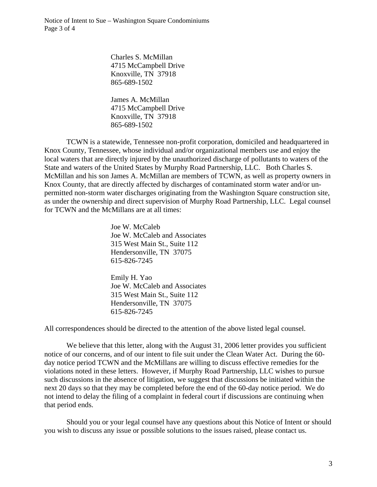Notice of Intent to Sue – Washington Square Condominiums Page 3 of 4

> Charles S. McMillan 4715 McCampbell Drive Knoxville, TN 37918 865-689-1502

> James A. McMillan 4715 McCampbell Drive Knoxville, TN 37918 865-689-1502

 TCWN is a statewide, Tennessee non-profit corporation, domiciled and headquartered in Knox County, Tennessee, whose individual and/or organizational members use and enjoy the local waters that are directly injured by the unauthorized discharge of pollutants to waters of the State and waters of the United States by Murphy Road Partnership, LLC. Both Charles S. McMillan and his son James A. McMillan are members of TCWN, as well as property owners in Knox County, that are directly affected by discharges of contaminated storm water and/or unpermitted non-storm water discharges originating from the Washington Square construction site, as under the ownership and direct supervision of Murphy Road Partnership, LLC. Legal counsel for TCWN and the McMillans are at all times:

> Joe W. McCaleb Joe W. McCaleb and Associates 315 West Main St., Suite 112 Hendersonville, TN 37075 615-826-7245

> Emily H. Yao Joe W. McCaleb and Associates 315 West Main St., Suite 112 Hendersonville, TN 37075 615-826-7245

All correspondences should be directed to the attention of the above listed legal counsel.

We believe that this letter, along with the August 31, 2006 letter provides you sufficient notice of our concerns, and of our intent to file suit under the Clean Water Act. During the 60 day notice period TCWN and the McMillans are willing to discuss effective remedies for the violations noted in these letters. However, if Murphy Road Partnership, LLC wishes to pursue such discussions in the absence of litigation, we suggest that discussions be initiated within the next 20 days so that they may be completed before the end of the 60-day notice period. We do not intend to delay the filing of a complaint in federal court if discussions are continuing when that period ends.

 Should you or your legal counsel have any questions about this Notice of Intent or should you wish to discuss any issue or possible solutions to the issues raised, please contact us.